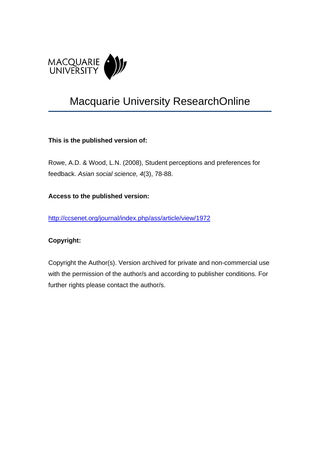

# Macquarie University ResearchOnline

# **This is the published version of:**

Rowe, A.D. & Wood, L.N. (2008), Student perceptions and preferences for feedback. *Asian social science, 4*(3), 78-88.

# **Access to the published version:**

<http://ccsenet.org/journal/index.php/ass/article/view/1972>

# **Copyright:**

Copyright the Author(s). Version archived for private and non-commercial use with the permission of the author/s and according to publisher conditions. For further rights please contact the author/s.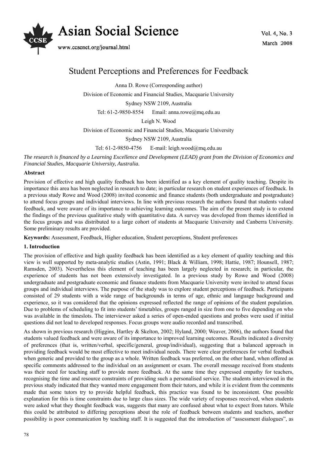

# Student Perceptions and Preferences for Feedback

Anna D. Rowe (Corresponding author)

Division of Economic and Financial Studies, Macquarie University

Sydney NSW 2109, Australia

Tel: 61-2-9850-8554 Email: anna.rowe@mq.edu.au

Leigh N. Wood

Division of Economic and Financial Studies, Macquarie University

Sydney NSW 2109, Australia

Tel: 61-2-9850-4756 E-mail: leigh.wood@mq.edu.au

*The research is financed by a Learning Excellence and Development (LEAD) grant from the Division of Economics and Financial Studies, Macquarie University, Australia.* 

## **Abstract**

Provision of effective and high quality feedback has been identified as a key element of quality teaching. Despite its importance this area has been neglected in research to date; in particular research on student experiences of feedback. In a previous study Rowe and Wood (2008) invited economic and finance students (both undergraduate and postgraduate) to attend focus groups and individual interviews. In line with previous research the authors found that students valued feedback, and were aware of its importance to achieving learning outcomes. The aim of the present study is to extend the findings of the previous qualitative study with quantitative data. A survey was developed from themes identified in the focus groups and was distributed to a large cohort of students at Macquarie University and Canberra University. Some preliminary results are provided.

**Keywords:** Assessment, Feedback, Higher education, Student perceptions, Student preferences

# **1. Introduction**

The provision of effective and high quality feedback has been identified as a key element of quality teaching and this view is well supported by meta-analytic studies (Astin, 1991; Black & William, 1998; Hattie, 1987; Hounsell, 1987; Ramsden, 2003). Nevertheless this element of teaching has been largely neglected in research; in particular, the experience of students has not been extensively investigated. In a previous study by Rowe and Wood (2008) undergraduate and postgraduate economic and finance students from Macquarie University were invited to attend focus groups and individual interviews. The purpose of the study was to explore student perceptions of feedback. Participants consisted of 29 students with a wide range of backgrounds in terms of age, ethnic and language background and experience, so it was considered that the opinions expressed reflected the range of opinions of the student population. Due to problems of scheduling to fit into students' timetables, groups ranged in size from one to five depending on who was available in the timeslots. The interviewer asked a series of open-ended questions and probes were used if initial questions did not lead to developed responses. Focus groups were audio recorded and transcribed.

As shown in previous research (Higgins, Hartley & Skelton, 2002; Hyland, 2000; Weaver, 2006), the authors found that students valued feedback and were aware of its importance to improved learning outcomes. Results indicated a diversity of preferences (that is, written/verbal, specific/general, group/individual), suggesting that a balanced approach in providing feedback would be most effective to meet individual needs. There were clear preferences for verbal feedback when generic and provided to the group as a whole. Written feedback was preferred, on the other hand, when offered as specific comments addressed to the individual on an assignment or exam. The overall message received from students was their need for teaching staff to provide more feedback. At the same time they expressed empathy for teachers, recognising the time and resource constraints of providing such a personalised service. The students interviewed in the previous study indicated that they wanted more engagement from their tutors, and while it is evident from the comments made that some tutors try to provide helpful feedback, this practice was found to be inconsistent. One possible explanation for this is time constraints due to large class sizes. The wide variety of responses received, when students were asked what they thought feedback was, suggests that many are confused about what to expect from tutors. While this could be attributed to differing perceptions about the role of feedback between students and teachers, another possibility is poor communication by teaching staff. It is suggested that the introduction of "assessment dialogues", as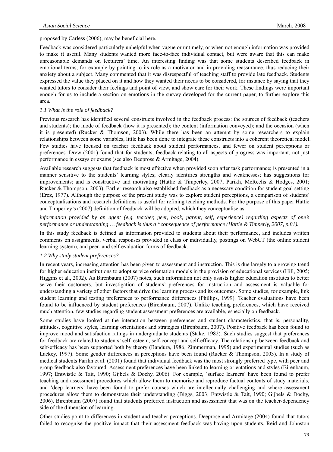proposed by Carless (2006), may be beneficial here.

Feedback was considered particularly unhelpful when vague or untimely, or when not enough information was provided to make it useful. Many students wanted more face-to-face individual contact, but were aware that this can make unreasonable demands on lecturers' time. An interesting finding was that some students described feedback in emotional terms, for example by pointing to its role as a motivator and in providing reassurance, thus reducing their anxiety about a subject. Many commented that it was disrespectful of teaching staff to provide late feedback. Students expressed the value they placed on it and how they wanted their needs to be considered, for instance by saying that they wanted tutors to consider their feelings and point of view, and show care for their work. These findings were important enough for us to include a section on emotions in the survey developed for the current paper, to further explore this area.

#### *1.1 What is the role of feedback?*

Previous research has identified several constructs involved in the feedback process: the sources of feedback (teachers and students); the mode of feedback (how it is presented); the content (information conveyed); and the occasion (when it is presented) (Rucker & Thomson, 2003). While there has been an attempt by some researchers to explain relationships between some variables, little has been done to integrate these constructs into a coherent theoretical model. Few studies have focused on teacher feedback about student performances, and fewer on student perceptions or preferences. Drew (2001) found that for students, feedback relating to all aspects of progress was important, not just performance in essays or exams (see also Deeprose & Armitage, 2004).

Available research suggests that feedback is most effective when provided soon after task performance; is presented in a manner sensitive to the students' learning styles; clearly identifies strengths and weaknesses; has suggestions for improvements; and is constructive and motivating (Hattie & Timperley, 2007; Parikh, McReelis & Hodges, 2001; Rucker & Thompson, 2003). Earlier research also established feedback as a necessary condition for student goal setting (Erez, 1977). Although the purpose of the present study was to explore student perceptions, a comparison of students' conceptualisations and research definitions is useful for refining teaching methods. For the purpose of this paper Hattie and Timperley's (2007) definition of feedback will be adopted, which they conceptualise as:

# *information provided by an agent (e.g. teacher, peer, book, parent, self, experience) regarding aspects of one's performance or understanding … feedback is thus a "consequence of performance (Hattie & Timperly, 2007, p.81).*

In this study feedback is defined as information provided to students about their performance, and includes written comments on assignments, verbal responses provided in class or individually, postings on WebCT (the online student learning system), and peer- and self-evaluation forms of feedback.

#### *1.2 Why study student preferences?*

In recent years, increasing attention has been given to assessment and instruction. This is due largely to a growing trend for higher education institutions to adopt service orientation models in the provision of educational services (Hill, 2005; Higgins et al., 2002). As Birenbaum (2007) notes, such information not only assists higher education institutes to better serve their customers, but investigation of students' preferences for instruction and assessment is valuable for understanding a variety of other factors that drive the learning process and its outcomes. Some studies, for example, link student learning and testing preferences to performance differences (Phillips, 1999). Teacher evaluations have been found to be influenced by student preferences (Birenbaum, 2007). Unlike teaching preferences, which have received much attention, few studies regarding student assessment preferences are available, especially on feedback.

Some studies have looked at the interaction between preferences and student characteristics, that is, personality, attitudes, cognitive styles, learning orientations and strategies (Birenbaum, 2007). Positive feedback has been found to improve mood and satisfaction ratings in undergraduate students (Stake, 1982). Such studies suggest that preferences for feedback are related to students' self–esteem, self-concept and self-efficacy. The relationship between feedback and self-efficacy has been supported both by theory (Bandura, 1986; Zimmerman, 1995) and experimental studies (such as Lackey, 1997). Some gender differences in perceptions have been found (Rucker & Thompson, 2003). In a study of medical students Parikh et al. (2001) found that individual feedback was the most strongly preferred type, with peer and group feedback also favoured. Assessment preferences have been linked to learning orientations and styles (Birenbaum, 1997; Entwistle & Tait, 1990; Gijbels & Dochy, 2006). For example, 'surface learners' have been found to prefer teaching and assessment procedures which allow them to memorise and reproduce factual contents of study materials, and 'deep learners' have been found to prefer courses which are intellectually challenging and where assessment procedures allow them to demonstrate their understanding (Biggs, 2003; Entwistle & Tait, 1990; Gijbels & Dochy, 2006). Birenbaum (2007) found that students preferred instruction and assessment that was on the teacher-dependency side of the dimension of learning.

Other studies point to differences in student and teacher perceptions. Deeprose and Armitage (2004) found that tutors failed to recognise the positive impact that their assessment feedback was having upon students. Reid and Johnston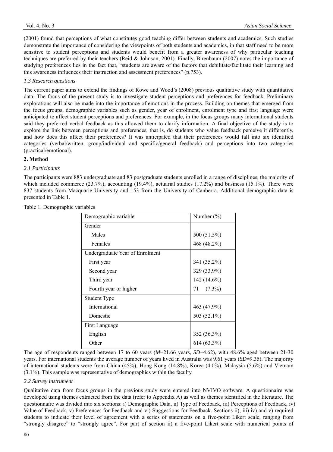(2001) found that perceptions of what constitutes good teaching differ between students and academics. Such studies demonstrate the importance of considering the viewpoints of both students and academics, in that staff need to be more sensitive to student perceptions and students would benefit from a greater awareness of why particular teaching techniques are preferred by their teachers (Reid & Johnson, 2001). Finally, Birenbaum (2007) notes the importance of studying preferences lies in the fact that, "students are aware of the factors that debilitate/facilitate their learning and this awareness influences their instruction and assessment preferences" (p.753).

# *1.3 Research questions*

The current paper aims to extend the findings of Rowe and Wood's (2008) previous qualitative study with quantitative data. The focus of the present study is to investigate student perceptions and preferences for feedback. Preliminary explorations will also be made into the importance of emotions in the process. Building on themes that emerged from the focus groups, demographic variables such as gender, year of enrolment, enrolment type and first language were anticipated to affect student perceptions and preferences. For example, in the focus groups many international students said they preferred verbal feedback as this allowed them to clarify information. A final objective of the study is to explore the link between perceptions and preferences, that is, do students who value feedback perceive it differently, and how does this affect their preferences? It was anticipated that their preferences would fall into six identified categories (verbal/written, group/individual and specific/general feedback) and perceptions into two categories (practical/emotional).

# **2. Method**

## *2.1 Participants*

The participants were 883 undergraduate and 83 postgraduate students enrolled in a range of disciplines, the majority of which included commerce (23.7%), accounting (19.4%), actuarial studies (17.2%) and business (15.1%). There were 837 students from Macquarie University and 153 from the University of Canberra. Additional demographic data is presented in Table 1.

| Demographic variable            | Number $(\% )$  |
|---------------------------------|-----------------|
| Gender                          |                 |
| Males                           | 500 (51.5%)     |
| Females                         | 468 (48.2%)     |
| Undergraduate Year of Enrolment |                 |
| First year                      | 341 (35.2%)     |
| Second year                     | 329 (33.9%)     |
| Third year                      | 142 (14.6%)     |
| Fourth year or higher           | $(7.3\%)$<br>71 |
| <b>Student Type</b>             |                 |
| International                   | 463 (47.9%)     |
| Domestic                        | 503 (52.1%)     |
| First Language                  |                 |
| English                         | 352 (36.3%)     |
| Other                           | 614 (63.3%)     |

Table 1. Demographic variables

The age of respondents ranged between 17 to 60 years (*M*=21.66 years, *SD*=4.62), with 48.6% aged between 21-30 years. For international students the average number of years lived in Australia was 9.61 years (*SD*=9.35). The majority of international students were from China (45%), Hong Kong (14.8%), Korea (4.0%), Malaysia (5.6%) and Vietnam (3.1%). This sample was representative of demographics within the faculty.

#### *2.2 Survey instrument*

Qualitative data from focus groups in the previous study were entered into NVIVO software. A questionnaire was developed using themes extracted from the data (refer to Appendix A) as well as themes identified in the literature. The questionnaire was divided into six sections: i) Demographic Data, ii) Type of Feedback, iii) Perceptions of Feedback, iv) Value of Feedback, v) Preferences for Feedback and vi) Suggestions for Feedback. Sections ii), iii) iv) and v) required students to indicate their level of agreement with a series of statements on a five-point Likert scale, ranging from "strongly disagree" to "strongly agree". For part of section ii) a five-point Likert scale with numerical points of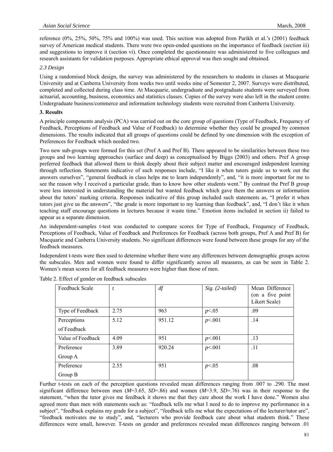reference (0%, 25%, 50%, 75% and 100%) was used. This section was adopted from Parikh et al.'s (2001) feedback survey of American medical students. There were two open-ended questions on the importance of feedback (section iii) and suggestions to improve it (section vi). Once completed the questionnaire was administered to five colleagues and research assistants for validation purposes. Appropriate ethical approval was then sought and obtained.

## *2.3 Design*

Using a randomised block design, the survey was administered by the researchers to students in classes at Macquarie University and at Canberra University from weeks two until weeks nine of Semester 2, 2007. Surveys were distributed, completed and collected during class time. At Macquarie, undergraduate and postgraduate students were surveyed from actuarial, accounting, business, economics and statistics classes. Copies of the survey were also left in the student centre. Undergraduate business/commerce and information technology students were recruited from Canberra University.

## **3. Results**

A principle components analysis (PCA) was carried out on the core group of questions (Type of Feedback, Frequency of Feedback, Perceptions of Feedback and Value of Feedback) to determine whether they could be grouped by common dimensions. The results indicated that all groups of questions could be defined by one dimension with the exception of Preferences for Feedback which needed two.

Two new sub-groups were formed for this set (Pref A and Pref B). There appeared to be similarities between these two groups and two learning approaches (surface and deep) as conceptualised by Biggs (2003) and others. Pref A group preferred feedback that allowed them to think deeply about their subject matter and encouraged independent learning through reflection. Statements indicative of such responses include, "I like it when tutors guide us to work out the answers ourselves", "general feedback in class helps me to learn independently", and, "it is more important for me to see the reason why I received a particular grade, than to know how other students went." By contrast the Pref B group were less interested in understanding the material but wanted feedback which gave them the answers or information about the tutors' marking criteria. Responses indicative of this group included such statements as, "I prefer it when tutors just give us the answers", "the grade is more important to my learning than feedback", and, "I don't like it when teaching staff encourage questions in lectures because it waste time." Emotion items included in section ii) failed to appear as a separate dimension.

An independent-samples t-test was conducted to compare scores for Type of Feedback, Frequency of Feedback, Perceptions of Feedback, Value of Feedback and Preferences for Feedback (across both groups, Pref A and Pref B) for Macquarie and Canberra University students. No significant differences were found between these groups for any of the feedback measures.

Independent t-tests were then used to determine whether there were any differences between demographic groups across the subscales. Men and women were found to differ significantly across all measures, as can be seen in Table 2. Women's mean scores for all feedback measures were higher than those of men.

| Feedback Scale    | t    | df     | Sig. (2-tailed) | Mean Difference<br>(on a five point<br>Likert Scale) |
|-------------------|------|--------|-----------------|------------------------------------------------------|
| Type of Feedback  | 2.75 | 963    | p<0.05          | .09                                                  |
| Perceptions       | 5.12 | 951.12 | p<.001          | .14                                                  |
| of Feedback       |      |        |                 |                                                      |
| Value of Feedback | 4.09 | 951    | p<.001          | .13                                                  |
| Preference        | 3.89 | 920.24 | p<.001          | .11                                                  |
| Group A           |      |        |                 |                                                      |
| Preference        | 2.55 | 951    | p<0.05          | .08                                                  |
| Group B           |      |        |                 |                                                      |

Table 2. Effect of gender on feedback subscales

Further t-tests on each of the perception questions revealed mean differences ranging from .007 to .290. The most significant difference between men (*M*=3.65, *SD*=.86) and women (*M*=3.9, *SD*=.76) was in their response to the statement, "when the tutor gives me feedback it shows me that they care about the work I have done." Women also agreed more than men with statements such as: "feedback tells me what I need to do to improve my performance in a subject", "feedback explains my grade for a subject", "feedback tells me what the expectations of the lecturer/tutor are", "feedback motivates me to study", and, "lecturers who provide feedback care about what students think." These differences were small, however. T-tests on gender and preferences revealed mean differences ranging between .01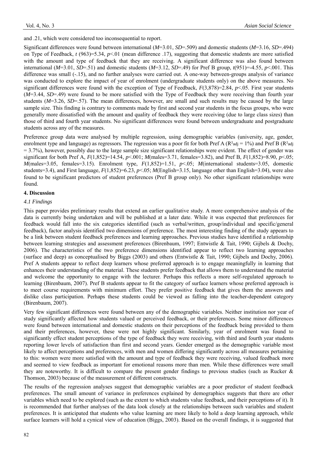and .21, which were considered too inconsequential to report.

Significant differences were found between international (*M*=3.01, *SD*=.509) and domestic students (*M*=3.16, *SD*=.494) on Type of Feedback, *t* (963)=5.34, *p*<.01 (mean difference .17), suggesting that domestic students are more satisfied with the amount and type of feedback that they are receiving. A significant difference was also found between international ( $M=3.01$ ,  $SD=51$ ) and domestic students ( $M=3.12$ ,  $SD=.49$ ) for Pref B group,  $t(951)=-4.55$ ,  $p<0.01$ . This difference was small (-.15), and no further analyses were carried out. A one-way between-groups analysis of variance was conducted to explore the impact of year of enrolment (undergraduate students only) on the above measures. No significant differences were found with the exception of Type of Feedback, *F*(3,878)=2.84, *p*<.05. First year students (*M*=3.44, *SD*=.49) were found to be more satisfied with the Type of Feedback they were receiving than fourth year students (*M*=3.26, *SD*=.57). The mean differences, however, are small and such results may be caused by the large sample size. This finding is contrary to comments made by first and second year students in the focus groups, who were generally more dissatisfied with the amount and quality of feedback they were receiving (due to large class sizes) than those of third and fourth year students. No significant differences were found between undergraduate and postgraduate students across any of the measures.

Preference group data were analysed by multiple regression, using demographic variables (university, age, gender, enrolment type and language) as regressors. The regression was a poor fit for both Pref A ( $R^2$ adj = 1%) and Pref B ( $R^2$ adj  $= 3.7\%$ ), however, possibly due to the large sample size significant relationships were evident. The effect of gender was significant for both Pref A, *F*(1,852)=14.54, *p*<.001; *M*(males=3.71, females=3.82), and Pref B, *F*(1,852)=8.90, *p*<.05;  $M$ (males=3.05, females=3.15). Enrolment type,  $F(1,852)=1.51$ ,  $p<0.05$ ;  $M$ (international students=3.05, domestic students=3.4), and First language, *F*(1,852)=6.23, *p*<.05; *M*(English=3.15, language other than English=3.04), were also found to be significant predictors of student preferences (Pref B group only). No other significant relationships were found.

# **4. Discussion**

# *4.1 Findings*

This paper provides preliminary results that extend an earlier qualitative study. A more comprehensive analysis of the data is currently being undertaken and will be published at a later date. While it was expected that preferences for feedback would fall into the six categories identified (such as verbal/written, group/individual and specific/general feedback), factor analysis identified two dimensions of preference. The most interesting finding of the study appears to be a link between student feedback preferences and learning approaches. Previous studies have identified a relationship between learning strategies and assessment preferences (Birenbaum, 1997; Entwistle & Tait, 1990; Gijbels & Dochy, 2006). The characteristics of the two preference dimensions identified appear to reflect two learning approaches (surface and deep) as conceptualised by Biggs (2003) and others (Entwistle & Tait, 1990; Gijbels and Dochy, 2006). Pref A students appear to reflect deep learners whose preferred approach is to engage meaningfully in learning that enhances their understanding of the material. These students prefer feedback that allows them to understand the material and welcome the opportunity to engage with the lecturer. Perhaps this reflects a more self-regulated approach to learning (Birenbaum, 2007). Pref B students appear to fit the category of surface learners whose preferred approach is to meet course requirements with minimum effort. They prefer positive feedback that gives them the answers and dislike class participation. Perhaps these students could be viewed as falling into the teacher-dependent category (Birenbaum, 2007).

Very few significant differences were found between any of the demographic variables. Neither institution nor year of study significantly affected how students valued or perceived feedback, or their preferences. Some minor differences were found between international and domestic students on their perceptions of the feedback being provided to them and their preferences, however, these were not highly significant. Similarly, year of enrolment was found to significantly effect student perceptions of the type of feedback they were receiving, with third and fourth year students reporting lower levels of satisfaction than first and second years. Gender emerged as the demographic variable most likely to affect perceptions and preferences, with men and women differing significantly across all measures pertaining to this: women were more satisfied with the amount and type of feedback they were receiving, valued feedback more and seemed to view feedback as important for emotional reasons more than men. While these differences were small they are noteworthy. It is difficult to compare the present gender findings to previous studies (such as Rucker & Thomson, 2003) because of the measurement of different constructs.

The results of the regression analyses suggest that demographic variables are a poor predictor of student feedback preferences. The small amount of variance in preferences explained by demographics suggests that there are other variables which need to be explored (such as the extent to which students value feedback, and their perceptions of it). It is recommended that further analyses of the data look closely at the relationships between such variables and student preferences. It is anticipated that students who value learning are more likely to hold a deep learning approach, while surface learners will hold a cynical view of education (Biggs, 2003). Based on the overall findings, it is suggested that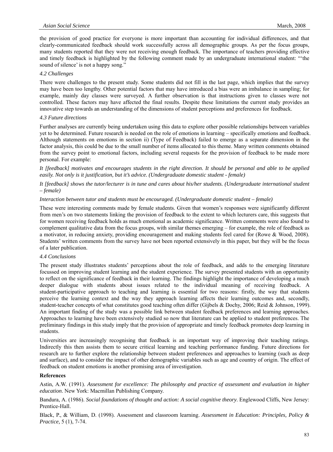the provision of good practice for everyone is more important than accounting for individual differences, and that clearly-communicated feedback should work successfully across all demographic groups. As per the focus groups, many students reported that they were not receiving enough feedback. The importance of teachers providing effective and timely feedback is highlighted by the following comment made by an undergraduate international student: "'the sound of silence' is not a happy song."

#### *4.2 Challenges*

There were challenges to the present study. Some students did not fill in the last page, which implies that the survey may have been too lengthy. Other potential factors that may have introduced a bias were an imbalance in sampling; for example, mainly day classes were surveyed. A further observation is that instructions given to classes were not controlled. These factors may have affected the final results. Despite these limitations the current study provides an innovative step towards an understanding of the dimensions of student perceptions and preferences for feedback.

#### *4.3 Future directions*

Further analyses are currently being undertaken using this data to explore other possible relationships between variables yet to be determined. Future research is needed on the role of emotions in learning – specifically emotions and feedback. Although statements on emotions in section ii) (Type of Feedback) failed to emerge as a separate dimension in the factor analysis, this could be due to the small number of items allocated to this theme. Many written comments obtained from the survey point to emotional factors, including several requests for the provision of feedback to be made more personal. For example:

*It [feedback] motivates and encourages students in the right direction. It should be personal and able to be applied easily. Not only is it justification, but it's advice. (Undergraduate domestic student - female)* 

# *It [feedback] shows the tutor/lecturer is in tune and cares about his/her students. (Undergraduate international student – female)*

#### *Interaction between tutor and students must be encouraged. (Undergraduate domestic student – female)*

These were interesting comments made by female students. Given that women's responses were significantly different from men's on two statements linking the provision of feedback to the extent to which lecturers care, this suggests that for women receiving feedback holds as much emotional as academic significance. Written comments were also found to complement qualitative data from the focus groups, with similar themes emerging – for example, the role of feedback as a motivator, in reducing anxiety, providing encouragement and making students feel cared for (Rowe & Wood, 2008). Students' written comments from the survey have not been reported extensively in this paper, but they will be the focus of a later publication.

#### *4.4 Conclusions*

The present study illustrates students' perceptions about the role of feedback, and adds to the emerging literature focussed on improving student learning and the student experience. The survey presented students with an opportunity to reflect on the significance of feedback in their learning. The findings highlight the importance of developing a much deeper dialogue with students about issues related to the individual meaning of receiving feedback. A student-participative approach to teaching and learning is essential for two reasons: firstly, the way that students perceive the learning context and the way they approach learning affects their learning outcomes and, secondly, student-teacher concepts of what constitutes good teaching often differ (Gijbels & Dochy, 2006; Reid & Johnson, 1999). An important finding of the study was a possible link between student feedback preferences and learning approaches. Approaches to learning have been extensively studied so now that literature can be applied to student preferences. The preliminary findings in this study imply that the provision of appropriate and timely feedback promotes deep learning in students.

Universities are increasingly recognising that feedback is an important way of improving their teaching ratings. Indirectly this then assists them to secure critical learning and teaching performance funding. Future directions for research are to further explore the relationship between student preferences and approaches to learning (such as deep and surface), and to consider the impact of other demographic variables such as age and country of origin. The effect of feedback on student emotions is another promising area of investigation.

#### **References**

Astin, A.W. (1991). *Assessment for excellence: The philosophy and practice of assessment and evaluation in higher education*. New York: Macmillan Publishing Company.

Bandura, A. (1986). *Social foundations of thought and action: A social cognitive theory*. Englewood Cliffs, New Jersey: Prentice-Hall.

Black, P., & William, D. (1998). Assessment and classroom learning. *Assessment in Education: Principles, Policy & Practice,* 5 (1), 7-74.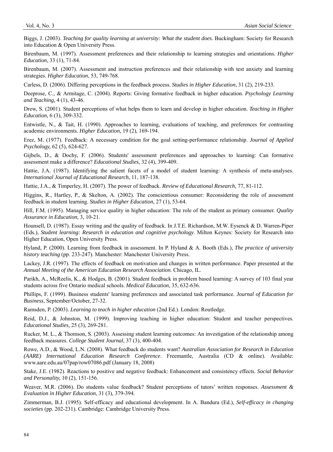Biggs, J. (2003). *Teaching for quality learning at university: What the student does*. Buckingham: Society for Research into Education & Open University Press.

Birenbaum, M. (1997). Assessment preferences and their relationship to learning strategies and orientations. *Higher Education*, 33 (1), 71-84.

Birenbaum, M. (2007). Assessment and instruction preferences and their relationship with test anxiety and learning strategies. *Higher Education*, 53, 749-768.

Carless, D. (2006). Differing perceptions in the feedback process. *Studies in Higher Education*, 31 (2), 219-233.

Deeprose, C., & Armitage, C. (2004). Reports: Giving formative feedback in higher education. *Psychology Learning and Teaching,* 4 (1), 43-46.

Drew, S. (2001). Student perceptions of what helps them to learn and develop in higher education. *Teaching in Higher Education,* 6 (3), 309-332.

Entwistle, N., & Tait, H. (1990). Approaches to learning, evaluations of teaching, and preferences for contrasting academic environments. *Higher Education,* 19 (2), 169-194.

Erez, M. (1977). Feedback: A necessary condition for the goal setting-performance relationship. *Journal of Applied Psychology,* 62 (5), 624-627.

Gijbels, D., & Dochy, F. (2006). Students' assessment preferences and approaches to learning: Can formative assessment make a difference? *Educational Studies,* 32 (4), 399-409.

Hattie, J.A. (1987). Identifying the salient facets of a model of student learning: A synthesis of meta-analyses. *International Journal of Educational Research*, 11, 187-138.

Hattie, J.A., & Timperley, H. (2007). The power of feedback. *Review of Educational Research,* 77, 81-112.

Higgins, R., Hartley, P., & Skelton, A. (2002). The conscientious consumer: Reconsidering the role of assessment feedback in student learning. *Studies in Higher Education,* 27 (1), 53-64.

Hill, F.M. (1995). Managing service quality in higher education: The role of the student as primary consumer. *Quality Assurance in Education,* 3, 10-21.

Hounsell, D. (1987). Essay writing and the quality of feedback. In J.T.E. Richardson, M.W. Eysenck & D. Warren-Piper (Eds.), *Student learning: Research in education and cognitive psychology*. Milton Keynes: Society for Research into Higher Education, Open University Press.

Hyland, P. (2000). Learning from feedback in assessment. In P. Hyland & A. Booth (Eds.), *The practice of university history teaching* (pp. 233-247). Manchester: Manchester University Press.

Lackey, J.R. (1997). The effects of feedback on motivation and changes in written performance. Paper presented at the *Annual Meeting of the American Education Research Association*. Chicago, IL.

Parikh, A., McReelis, K., & Hodges, B. (2001). Student feedback in problem based learning: A survey of 103 final year students across five Ontario medical schools. *Medical Education,* 35, 632-636.

Phillips, F. (1999). Business students' learning preferences and associated task performance. *Journal of Education for Business*, September/October, 27-32.

Ramsden, P. (2003). *Learning to teach in higher education* (2nd Ed.). London: Routledge.

Reid, D.J., & Johnston, M. (1999). Improving teaching in higher education: Student and teacher perspectives. *Educational Studies,* 25 (3), 269-281.

Rucker, M. L., & Thomson, S. (2003). Assessing student learning outcomes: An investigation of the relationship among feedback measures. *College Student Journal,* 37 (3), 400-404.

Rowe, A.D., & Wood, L.N. (2008). What feedback do students want? *Australian Association for Research in Education (AARE) International Education Research Conference*. Freemantle, Australia (CD & online). Available: www.aare.edu.au/07pap/row07086.pdf (January 18, 2008)

Stake, J.E. (1982). Reactions to positive and negative feedback: Enhancement and consistency effects. *Social Behavior and Personality,* 10 (2), 151-156.

Weaver, M.R. (2006). Do students value feedback? Student perceptions of tutors' written responses. *Assessment & Evaluation in Higher Education*, 31 (3), 379-394.

Zimmerman, B.J. (1995). Self-efficacy and educational development. In A. Bandura (Ed.), *Self-efficacy in changing societies* (pp. 202-231). Cambridge: Cambridge University Press.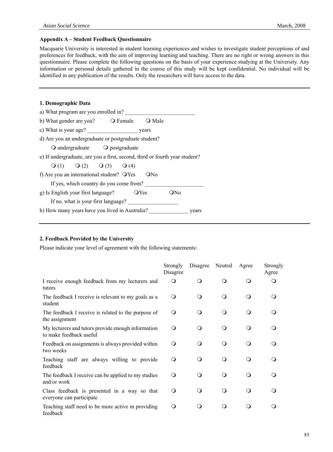#### **Appendix A – Student Feedback Questionnaire**

Macquarie University is interested in student learning experiences and wishes to investigate student perceptions of and preferences for feedback, with the aim of improving learning and teaching. There are no right or wrong answers in this questionnaire. Please complete the following questions on the basis of your experience studying at the University. Any information or personal details gathered in the course of this study will be kept confidential. No individual will be identified in any publication of the results. Only the researchers will have access to the data.

# **1. Demographic Data**

| a) What program are you enrolled in?                                        |       |
|-----------------------------------------------------------------------------|-------|
| b) What gender are you? •• O Female •• O Male                               |       |
|                                                                             |       |
| d) Are you an undergraduate or postgraduate student?                        |       |
| O undergraduate O postgraduate                                              |       |
| e) If undergraduate, are you a first, second, third or fourth year student? |       |
| $Q(1)$ $Q(2)$ $Q(3)$ $Q(4)$                                                 |       |
| f) Are you an international student? $\Delta$ Yes                           | ONo   |
| If yes, which country do you come from?                                     |       |
| g) Is English your first language? $QYes$                                   | ONo   |
| If no, what is your first language?                                         |       |
| h) How many years have you lived in Australia?                              | vears |

# **2. Feedback Provided by the University**

Please indicate your level of agreement with the following statements:

|                                                                               | Strongly<br>Disagree | Disagree | Neutral  | Agree | Strongly<br>Agree |
|-------------------------------------------------------------------------------|----------------------|----------|----------|-------|-------------------|
| I receive enough feedback from my lecturers and<br>tutors                     | $\circ$              | O        | $\circ$  | O     | ∩                 |
| The feedback I receive is relevant to my goals as a<br>student                | Q                    | ∩        | $\Omega$ | O     |                   |
| The feedback I receive is related to the purpose of<br>the assignment         | Q                    | ∩        | $\Omega$ | ∩     |                   |
| My lecturers and tutors provide enough information<br>to make feedback useful | O                    | Q        | O        | ∩     |                   |
| Feedback on assignments is always provided within<br>two weeks                | O                    | ∩        | $\Omega$ | ∩     |                   |
| Teaching staff are always willing to provide<br>feedback                      | $\Omega$             | $\Omega$ | $\Omega$ | ∩     |                   |
| The feedback I receive can be applied to my studies<br>and/or work            | ∩                    | ∩        | $\Omega$ | ∩     |                   |
| Class feedback is presented in a way so that<br>everyone can participate      | ∩                    | ∩        | O        | ∩     |                   |
| Teaching staff need to be more active in providing<br>feedback                | $\circ$              | ∩        | O        | ∩     |                   |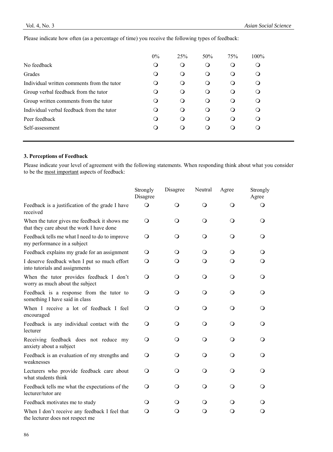|                                            | 0%       | 25%     | 50% | 75%      | 100%     |  |
|--------------------------------------------|----------|---------|-----|----------|----------|--|
| No feedback                                | O        | $\circ$ | O   | O        | $\circ$  |  |
| Grades                                     | O        | $\circ$ | O   | Ő        | $\circ$  |  |
| Individual written comments from the tutor | $\Omega$ | $\circ$ | O   | O        | O        |  |
| Group verbal feedback from the tutor       | 0        | $\cup$  | Ő   | O        |          |  |
| Group written comments from the tutor      | 0        | O       | O   | Ő        |          |  |
| Individual verbal feedback from the tutor  | $\Omega$ | $\circ$ | O   | O        | $\Omega$ |  |
| Peer feedback                              | $\Omega$ | $\circ$ | O   | $\Omega$ | O        |  |
| Self-assessment                            | O        | O       | O   | ∩        | ∩        |  |
|                                            |          |         |     |          |          |  |

Please indicate how often (as a percentage of time) you receive the following types of feedback:

# **3. Perceptions of Feedback**

Please indicate your level of agreement with the following statements. When responding think about what you consider to be the most important aspects of feedback:

|                                                                                           | Strongly<br>Disagree | Disagree | Neutral  | Agree    | Strongly<br>Agree |
|-------------------------------------------------------------------------------------------|----------------------|----------|----------|----------|-------------------|
| Feedback is a justification of the grade I have<br>received                               | $\circ$              | $\circ$  | O        | $\circ$  | $\bigcirc$        |
| When the tutor gives me feedback it shows me<br>that they care about the work I have done | $\circ$              | $\circ$  | O        | $\circ$  | O                 |
| Feedback tells me what I need to do to improve<br>my performance in a subject             | $\circ$              | $\circ$  | O        | $\circ$  | O                 |
| Feedback explains my grade for an assignment                                              | $\Omega$             | $\circ$  | $\circ$  | $\circ$  | O                 |
| I deserve feedback when I put so much effort<br>into tutorials and assignments            | $\circ$              | $\circ$  | $\Omega$ | $\circ$  | $\Omega$          |
| When the tutor provides feedback I don't<br>worry as much about the subject               | $\Omega$             | $\circ$  | $\circ$  | $\circ$  | $\Omega$          |
| Feedback is a response from the tutor to<br>something I have said in class                | $\Omega$             | $\Omega$ | $\Omega$ | $\Omega$ | O                 |
| When I receive a lot of feedback I feel<br>encouraged                                     | $\circ$              | $\circ$  | $\circ$  | $\circ$  | O                 |
| Feedback is any individual contact with the<br>lecturer                                   | $\circ$              | $\circ$  | $\Omega$ | $\circ$  | O                 |
| Receiving feedback does not reduce my<br>anxiety about a subject                          | $\circ$              | $\circ$  | $\circ$  | $\circ$  | O                 |
| Feedback is an evaluation of my strengths and<br>weaknesses                               | $\circ$              | $\circ$  | $\circ$  | $\circ$  | O                 |
| Lecturers who provide feedback care about<br>what students think                          | $\circ$              | $\circ$  | $\circ$  | $\circ$  | O                 |
| Feedback tells me what the expectations of the<br>lecturer/tutor are                      | $\circ$              | $\circ$  | $\circ$  | $\circ$  | O                 |
| Feedback motivates me to study                                                            | O                    | $\circ$  | $\circ$  | $\circ$  | $\Omega$          |
| When I don't receive any feedback I feel that<br>the lecturer does not respect me         | $\circ$              | $\circ$  | O        | $\circ$  | O                 |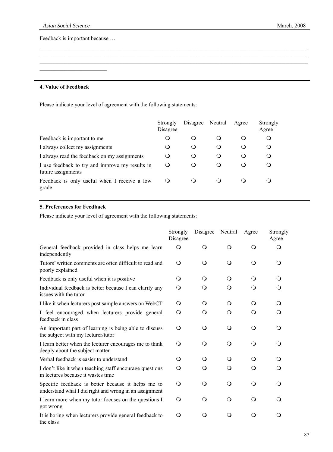Feedback is important because …

 $\mathcal{L}_\text{max}$  , where  $\mathcal{L}_\text{max}$  and  $\mathcal{L}_\text{max}$ 

# **4. Value of Feedback**

Please indicate your level of agreement with the following statements:

|                                                                       | Strongly<br>Disagree | Disagree | Neutral  | Agree | Strongly<br>Agree |
|-----------------------------------------------------------------------|----------------------|----------|----------|-------|-------------------|
| Feedback is important to me                                           | O                    | $\Omega$ |          | O     | O                 |
| I always collect my assignments                                       |                      | $\Omega$ | ( )      |       | O                 |
| I always read the feedback on my assignments                          | $\cup$               | $\cup$   |          |       |                   |
| I use feedback to try and improve my results in<br>future assignments | $\cup$               | $\cup$   | $\Omega$ | 0     | 0                 |
| Feedback is only useful when I receive a low<br>grade                 | $\Omega$             |          |          |       |                   |

# **5. Preferences for Feedback**

Please indicate your level of agreement with the following statements:

|                                                                                                              | Strongly<br>Disagree | Disagree | Neutral  | Agree    | Strongly<br>Agree |
|--------------------------------------------------------------------------------------------------------------|----------------------|----------|----------|----------|-------------------|
| General feedback provided in class helps me learn<br>independently                                           | $\Omega$             | $\circ$  | $\Omega$ | $\Omega$ | $\Omega$          |
| Tutors' written comments are often difficult to read and<br>poorly explained                                 | $\Omega$             | $\circ$  | $\circ$  | $\Omega$ | $\Omega$          |
| Feedback is only useful when it is positive                                                                  | $\Omega$             | $\Omega$ | $\Omega$ | O        | Q                 |
| Individual feedback is better because I can clarify any<br>issues with the tutor                             | $\Omega$             | $\Omega$ | $\circ$  | $\Omega$ | O                 |
| I like it when lecturers post sample answers on WebCT                                                        | $\Omega$             | $\Omega$ | $\Omega$ | Q        | Q                 |
| I feel encouraged when lecturers provide general<br>feedback in class                                        | $\circ$              | $\Omega$ | $\circ$  | $\Omega$ | Q                 |
| An important part of learning is being able to discuss<br>the subject with my lecturer/tutor                 | $\mathsf{O}$         | $\circ$  | $\circ$  | $\Omega$ | ∩                 |
| I learn better when the lecturer encourages me to think<br>deeply about the subject matter                   | $\mathsf{O}$         | $\Omega$ | $\circ$  | $\Omega$ | ∩                 |
| Verbal feedback is easier to understand                                                                      | Q                    | $\Omega$ | $\Omega$ | ∩        | ∩                 |
| I don't like it when teaching staff encourage questions<br>in lectures because it wastes time                | $\Omega$             | $\Omega$ | $\Omega$ | $\Omega$ | Q                 |
| Specific feedback is better because it helps me to<br>understand what I did right and wrong in an assignment | $\Omega$             | $\circ$  | $\Omega$ | $\Omega$ | $\Omega$          |
| I learn more when my tutor focuses on the questions I<br>got wrong                                           | $\Omega$             | $\circ$  | $\Omega$ | $\Omega$ | ∩                 |
| It is boring when lecturers provide general feedback to<br>the class                                         | $\Omega$             | $\Omega$ | $\Omega$ | $\Omega$ | ∩                 |